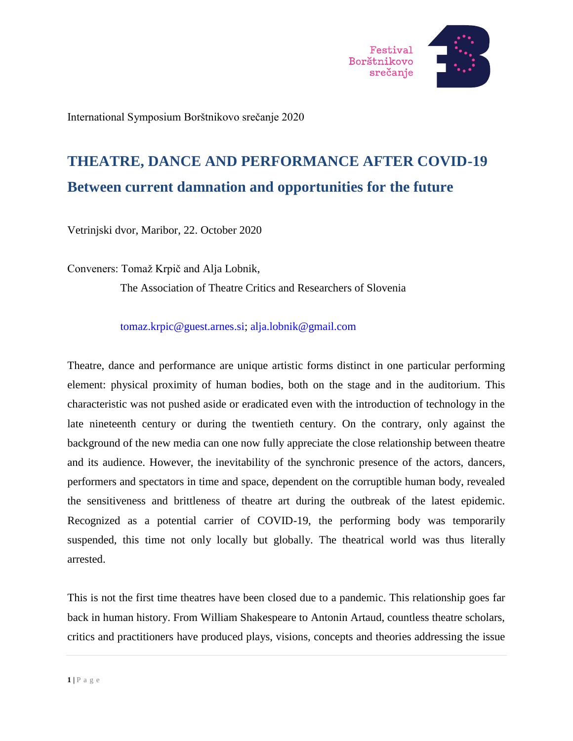

International Symposium Borštnikovo srečanje 2020

# **THEATRE, DANCE AND PERFORMANCE AFTER COVID-19 Between current damnation and opportunities for the future**

Vetrinjski dvor, Maribor, 22. October 2020

Conveners: Tomaž Krpič and Alja Lobnik,

The Association of Theatre Critics and Researchers of Slovenia

[tomaz.krpic@guest.arnes.si;](mailto:tomaz.krpic@guest.arnes.si) [alja.lobnik@gmail.com](mailto:alja.lobnik@gmail.com) 

Theatre, dance and performance are unique artistic forms distinct in one particular performing element: physical proximity of human bodies, both on the stage and in the auditorium. This characteristic was not pushed aside or eradicated even with the introduction of technology in the late nineteenth century or during the twentieth century. On the contrary, only against the background of the new media can one now fully appreciate the close relationship between theatre and its audience. However, the inevitability of the synchronic presence of the actors, dancers, performers and spectators in time and space, dependent on the corruptible human body, revealed the sensitiveness and brittleness of theatre art during the outbreak of the latest epidemic. Recognized as a potential carrier of COVID-19, the performing body was temporarily suspended, this time not only locally but globally. The theatrical world was thus literally arrested.

This is not the first time theatres have been closed due to a pandemic. This relationship goes far back in human history. From William Shakespeare to Antonin Artaud, countless theatre scholars, critics and practitioners have produced plays, visions, concepts and theories addressing the issue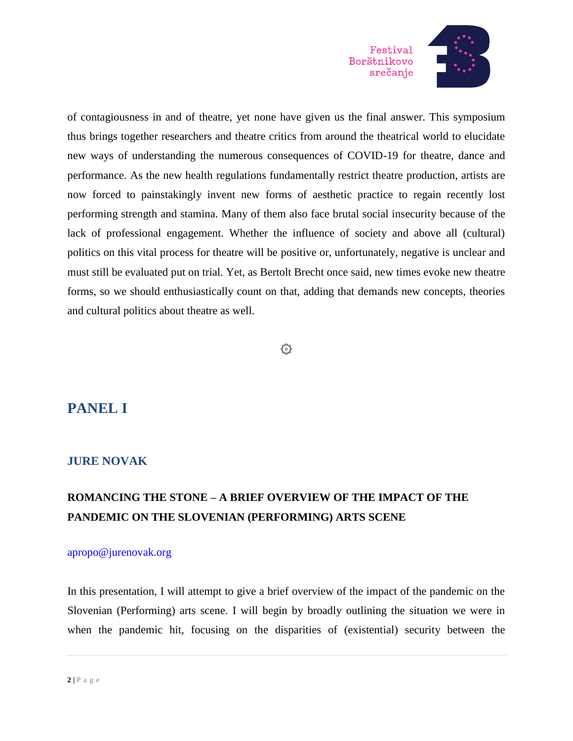

of contagiousness in and of theatre, yet none have given us the final answer. This symposium thus brings together researchers and theatre critics from around the theatrical world to elucidate new ways of understanding the numerous consequences of COVID-19 for theatre, dance and performance. As the new health regulations fundamentally restrict theatre production, artists are now forced to painstakingly invent new forms of aesthetic practice to regain recently lost performing strength and stamina. Many of them also face brutal social insecurity because of the lack of professional engagement. Whether the influence of society and above all (cultural) politics on this vital process for theatre will be positive or, unfortunately, negative is unclear and must still be evaluated put on trial. Yet, as Bertolt Brecht once said, new times evoke new theatre forms, so we should enthusiastically count on that, adding that demands new concepts, theories and cultural politics about theatre as well.

### ۞

### **PANEL I**

### **JURE NOVAK**

### **ROMANCING THE STONE – A BRIEF OVERVIEW OF THE IMPACT OF THE PANDEMIC ON THE SLOVENIAN (PERFORMING) ARTS SCENE**

### [apropo@jurenovak.org](mailto:apropo@jurenovak.org)

In this presentation, I will attempt to give a brief overview of the impact of the pandemic on the Slovenian (Performing) arts scene. I will begin by broadly outlining the situation we were in when the pandemic hit, focusing on the disparities of (existential) security between the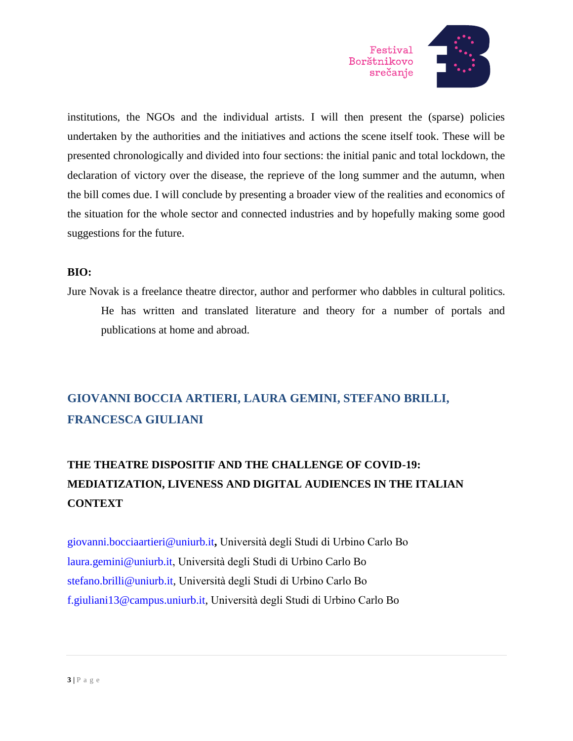

institutions, the NGOs and the individual artists. I will then present the (sparse) policies undertaken by the authorities and the initiatives and actions the scene itself took. These will be presented chronologically and divided into four sections: the initial panic and total lockdown, the declaration of victory over the disease, the reprieve of the long summer and the autumn, when the bill comes due. I will conclude by presenting a broader view of the realities and economics of the situation for the whole sector and connected industries and by hopefully making some good suggestions for the future.

### **BIO:**

Jure Novak is a freelance theatre director, author and performer who dabbles in cultural politics. He has written and translated literature and theory for a number of portals and publications at home and abroad.

## **GIOVANNI BOCCIA ARTIERI, LAURA GEMINI, STEFANO BRILLI, FRANCESCA GIULIANI**

## **THE THEATRE DISPOSITIF AND THE CHALLENGE OF COVID-19: MEDIATIZATION, LIVENESS AND DIGITAL AUDIENCES IN THE ITALIAN CONTEXT**

[giovanni.bocciaartieri@uniurb.it](mailto:Giovanni.bocciaartieri@uniurb.it)**,** Università degli Studi di Urbino Carlo Bo [laura.gemini@uniurb.it,](mailto:laura.gemini@uniurb.it) Università degli Studi di Urbino Carlo Bo [stefano.brilli@uniurb.it,](mailto:stefano.brilli@uniurb.it) Università degli Studi di Urbino Carlo Bo [f.giuliani13@campus.uniurb.it,](mailto:f.giuliani13@campus.uniurb.it) Università degli Studi di Urbino Carlo Bo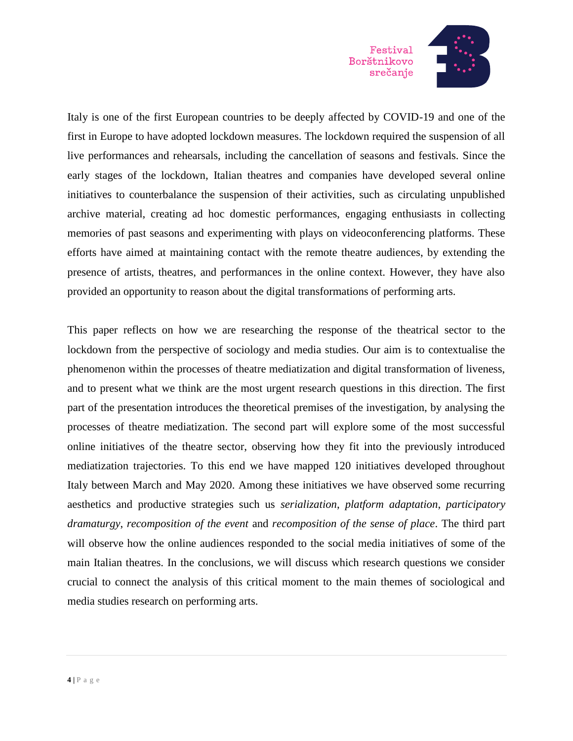

Italy is one of the first European countries to be deeply affected by COVID-19 and one of the first in Europe to have adopted lockdown measures. The lockdown required the suspension of all live performances and rehearsals, including the cancellation of seasons and festivals. Since the early stages of the lockdown, Italian theatres and companies have developed several online initiatives to counterbalance the suspension of their activities, such as circulating unpublished archive material, creating ad hoc domestic performances, engaging enthusiasts in collecting memories of past seasons and experimenting with plays on videoconferencing platforms. These efforts have aimed at maintaining contact with the remote theatre audiences, by extending the presence of artists, theatres, and performances in the online context. However, they have also provided an opportunity to reason about the digital transformations of performing arts.

This paper reflects on how we are researching the response of the theatrical sector to the lockdown from the perspective of sociology and media studies. Our aim is to contextualise the phenomenon within the processes of theatre mediatization and digital transformation of liveness, and to present what we think are the most urgent research questions in this direction. The first part of the presentation introduces the theoretical premises of the investigation, by analysing the processes of theatre mediatization. The second part will explore some of the most successful online initiatives of the theatre sector, observing how they fit into the previously introduced mediatization trajectories. To this end we have mapped 120 initiatives developed throughout Italy between March and May 2020. Among these initiatives we have observed some recurring aesthetics and productive strategies such us *serialization*, *platform adaptation*, *participatory dramaturgy*, *recomposition of the event* and *recomposition of the sense of place*. The third part will observe how the online audiences responded to the social media initiatives of some of the main Italian theatres. In the conclusions, we will discuss which research questions we consider crucial to connect the analysis of this critical moment to the main themes of sociological and media studies research on performing arts.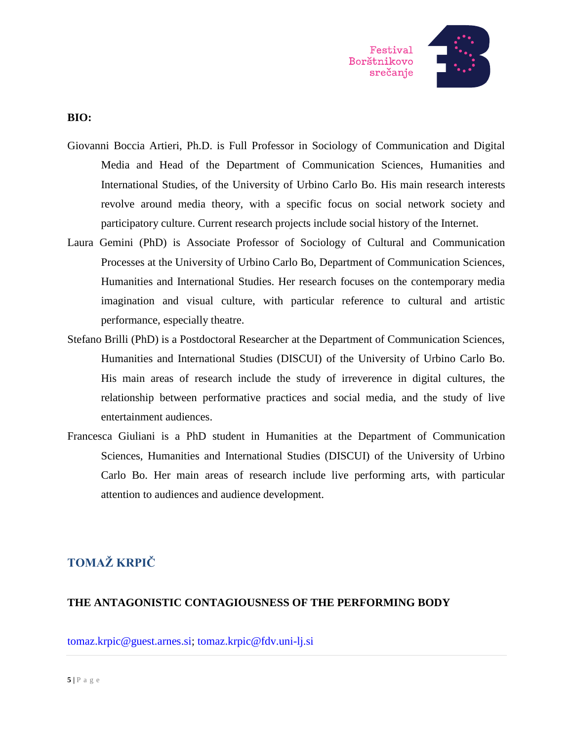

### **BIO:**

- Giovanni Boccia Artieri, Ph.D. is Full Professor in Sociology of Communication and Digital Media and Head of the Department of Communication Sciences, Humanities and International Studies, of the University of Urbino Carlo Bo. His main research interests revolve around media theory, with a specific focus on social network society and participatory culture. Current research projects include social history of the Internet.
- Laura Gemini (PhD) is Associate Professor of Sociology of Cultural and Communication Processes at the University of Urbino Carlo Bo, Department of Communication Sciences, Humanities and International Studies. Her research focuses on the contemporary media imagination and visual culture, with particular reference to cultural and artistic performance, especially theatre.
- Stefano Brilli (PhD) is a Postdoctoral Researcher at the Department of Communication Sciences, Humanities and International Studies (DISCUI) of the University of Urbino Carlo Bo. His main areas of research include the study of irreverence in digital cultures, the relationship between performative practices and social media, and the study of live entertainment audiences.
- Francesca Giuliani is a PhD student in Humanities at the Department of Communication Sciences, Humanities and International Studies (DISCUI) of the University of Urbino Carlo Bo. Her main areas of research include live performing arts, with particular attention to audiences and audience development.

### **TOMAŽ KRPIČ**

### **THE ANTAGONISTIC CONTAGIOUSNESS OF THE PERFORMING BODY**

[tomaz.krpic@guest.arnes.si;](mailto:tomaz.krpic@guest.arnes.si) [tomaz.krpic@fdv.uni-lj.si](mailto:tomaz.krpic@fdv.uni-lj.si)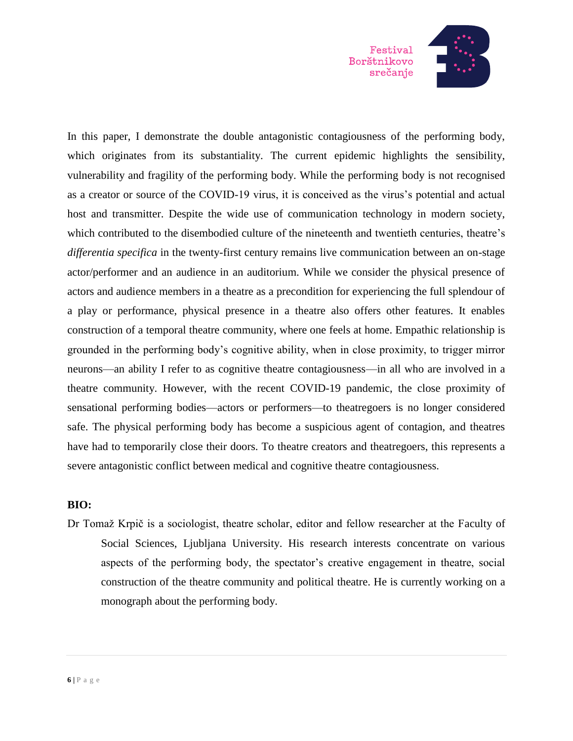

In this paper, I demonstrate the double antagonistic contagiousness of the performing body, which originates from its substantiality. The current epidemic highlights the sensibility, vulnerability and fragility of the performing body. While the performing body is not recognised as a creator or source of the COVID-19 virus, it is conceived as the virus's potential and actual host and transmitter. Despite the wide use of communication technology in modern society, which contributed to the disembodied culture of the nineteenth and twentieth centuries, theatre's *differentia specifica* in the twenty-first century remains live communication between an on-stage actor/performer and an audience in an auditorium. While we consider the physical presence of actors and audience members in a theatre as a precondition for experiencing the full splendour of a play or performance, physical presence in a theatre also offers other features. It enables construction of a temporal theatre community, where one feels at home. Empathic relationship is grounded in the performing body's cognitive ability, when in close proximity, to trigger mirror neurons—an ability I refer to as cognitive theatre contagiousness—in all who are involved in a theatre community. However, with the recent COVID-19 pandemic, the close proximity of sensational performing bodies—actors or performers—to theatregoers is no longer considered safe. The physical performing body has become a suspicious agent of contagion, and theatres have had to temporarily close their doors. To theatre creators and theatregoers, this represents a severe antagonistic conflict between medical and cognitive theatre contagiousness.

### **BIO:**

Dr Tomaž Krpič is a sociologist, theatre scholar, editor and fellow researcher at the Faculty of Social Sciences, Ljubljana University. His research interests concentrate on various aspects of the performing body, the spectator's creative engagement in theatre, social construction of the theatre community and political theatre. He is currently working on a monograph about the performing body.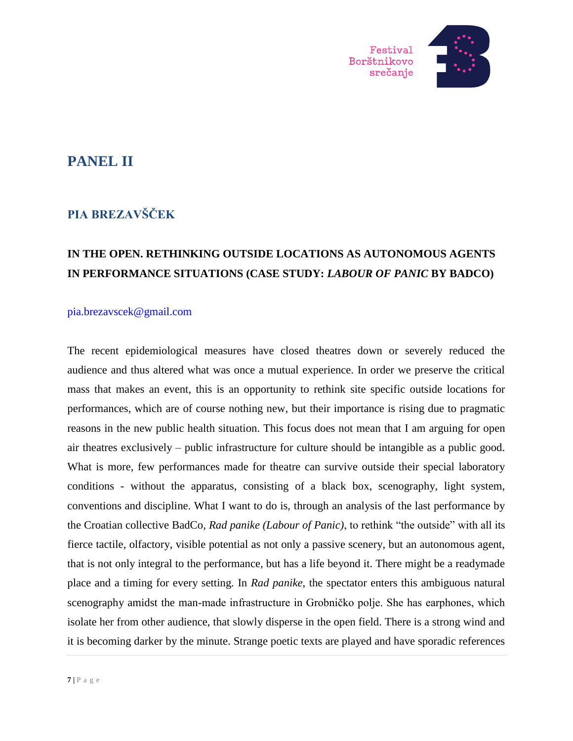

## **PANEL II**

## **PIA BREZAVŠČEK**

### **IN THE OPEN. RETHINKING OUTSIDE LOCATIONS AS AUTONOMOUS AGENTS IN PERFORMANCE SITUATIONS (CASE STUDY:** *LABOUR OF PANIC* **BY BADCO)**

#### [pia.brezavscek@gmail.com](mailto:pia.brezavscek@gmail.com)

The recent epidemiological measures have closed theatres down or severely reduced the audience and thus altered what was once a mutual experience. In order we preserve the critical mass that makes an event, this is an opportunity to rethink site specific outside locations for performances, which are of course nothing new, but their importance is rising due to pragmatic reasons in the new public health situation. This focus does not mean that I am arguing for open air theatres exclusively – public infrastructure for culture should be intangible as a public good. What is more, few performances made for theatre can survive outside their special laboratory conditions - without the apparatus, consisting of a black box, scenography, light system, conventions and discipline. What I want to do is, through an analysis of the last performance by the Croatian collective BadCo*, Rad panike (Labour of Panic)*, to rethink "the outside" with all its fierce tactile, olfactory, visible potential as not only a passive scenery, but an autonomous agent, that is not only integral to the performance, but has a life beyond it. There might be a readymade place and a timing for every setting. In *Rad panike*, the spectator enters this ambiguous natural scenography amidst the man-made infrastructure in Grobničko polje. She has earphones, which isolate her from other audience, that slowly disperse in the open field. There is a strong wind and it is becoming darker by the minute. Strange poetic texts are played and have sporadic references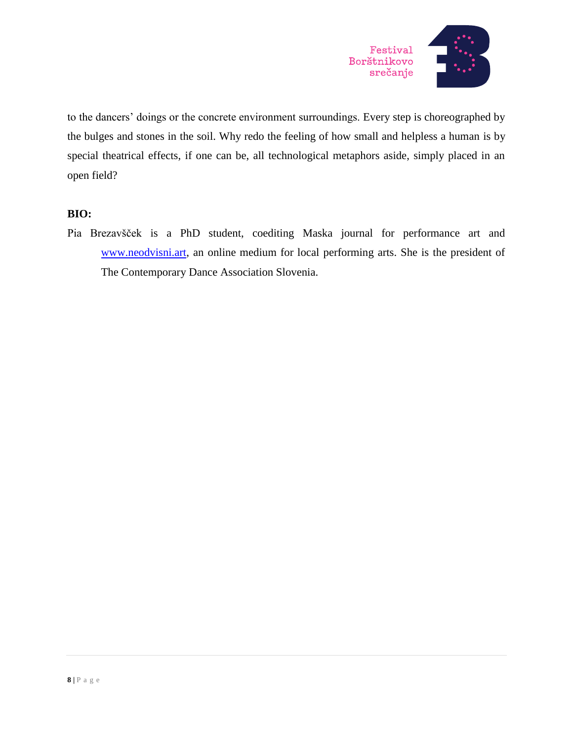

to the dancers' doings or the concrete environment surroundings. Every step is choreographed by the bulges and stones in the soil. Why redo the feeling of how small and helpless a human is by special theatrical effects, if one can be, all technological metaphors aside, simply placed in an open field?

### **BIO:**

Pia Brezavšček is a PhD student, coediting Maska journal for performance art and [www.neodvisni.art,](http://www.neodvisni.art/) an online medium for local performing arts. She is the president of The Contemporary Dance Association Slovenia.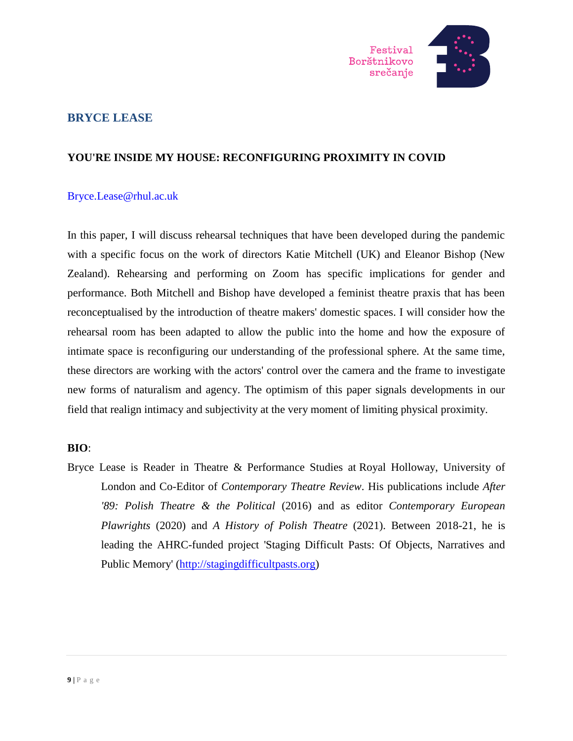

### **BRYCE LEASE**

### **YOU'RE INSIDE MY HOUSE: RECONFIGURING PROXIMITY IN COVID**

### [Bryce.Lease@rhul.ac.uk](mailto:Bryce.Lease@rhul.ac.uk)

In this paper, I will discuss rehearsal techniques that have been developed during the pandemic with a specific focus on the work of directors Katie Mitchell (UK) and Eleanor Bishop (New Zealand). Rehearsing and performing on Zoom has specific implications for gender and performance. Both Mitchell and Bishop have developed a feminist theatre praxis that has been reconceptualised by the introduction of theatre makers' domestic spaces. I will consider how the rehearsal room has been adapted to allow the public into the home and how the exposure of intimate space is reconfiguring our understanding of the professional sphere. At the same time, these directors are working with the actors' control over the camera and the frame to investigate new forms of naturalism and agency. The optimism of this paper signals developments in our field that realign intimacy and subjectivity at the very moment of limiting physical proximity.

### **BIO**:

Bryce Lease is Reader in Theatre & Performance Studies at Royal Holloway, University of London and Co-Editor of *Contemporary Theatre Review*. His publications include *After '89: Polish Theatre & the Political* (2016) and as editor *Contemporary European Plawrights* (2020) and *A History of Polish Theatre* (2021). Between 2018-21, he is leading the AHRC-funded project 'Staging Difficult Pasts: Of Objects, Narratives and Public Memory' [\(http://stagingdifficultpasts.org\)](http://stagingdifficultpasts.org/)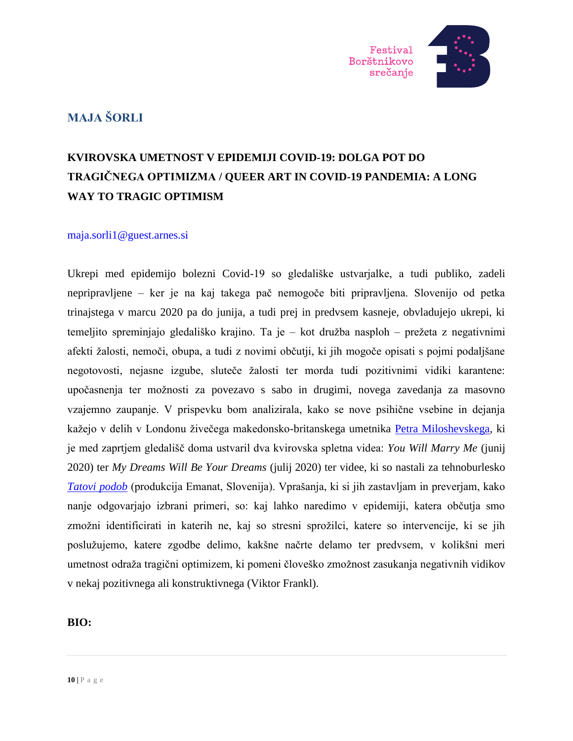

### **MAJA ŠORLI**

## **KVIROVSKA UMETNOST V EPIDEMIJI COVID-19: DOLGA POT DO TRAGIČNEGA OPTIMIZMA / QUEER ART IN COVID-19 PANDEMIA: A LONG WAY TO TRAGIC OPTIMISM**

### [maja.sorli1@guest.arnes.si](mailto:maja.sorli1@guest.arnes.si)

Ukrepi med epidemijo bolezni Covid-19 so gledališke ustvarjalke, a tudi publiko, zadeli nepripravljene – ker je na kaj takega pač nemogoče biti pripravljena. Slovenijo od petka trinajstega v marcu 2020 pa do junija, a tudi prej in predvsem kasneje, obvladujejo ukrepi, ki temeljito spreminjajo gledališko krajino. Ta je – kot družba nasploh – prežeta z negativnimi afekti žalosti, nemoči, obupa, a tudi z novimi občutji, ki jih mogoče opisati s pojmi podaljšane negotovosti, nejasne izgube, sluteče žalosti ter morda tudi pozitivnimi vidiki karantene: upočasnenja ter možnosti za povezavo s sabo in drugimi, novega zavedanja za masovno vzajemno zaupanje. V prispevku bom analizirala, kako se nove psihične vsebine in dejanja kažejo v delih v Londonu živečega makedonsko-britanskega umetnika [Petra Miloshevskega,](https://www.petarmiloshevski.com/) ki je med zaprtjem gledališč doma ustvaril dva kvirovska spletna videa: *You Will Marry Me* (junij 2020) ter *My Dreams Will Be Your Dreams* (julij 2020) ter videe, ki so nastali za tehnoburlesko *[Tatovi podob](https://emanat.si/si/produkcija/tatovi-podob/)* (produkcija Emanat, Slovenija). Vprašanja, ki si jih zastavljam in preverjam, kako nanje odgovarjajo izbrani primeri, so: kaj lahko naredimo v epidemiji, katera občutja smo zmožni identificirati in katerih ne, kaj so stresni sprožilci, katere so intervencije, ki se jih poslužujemo, katere zgodbe delimo, kakšne načrte delamo ter predvsem, v kolikšni meri umetnost odraža tragični optimizem, ki pomeni človeško zmožnost zasukanja negativnih vidikov v nekaj pozitivnega ali konstruktivnega (Viktor Frankl).

### **BIO:**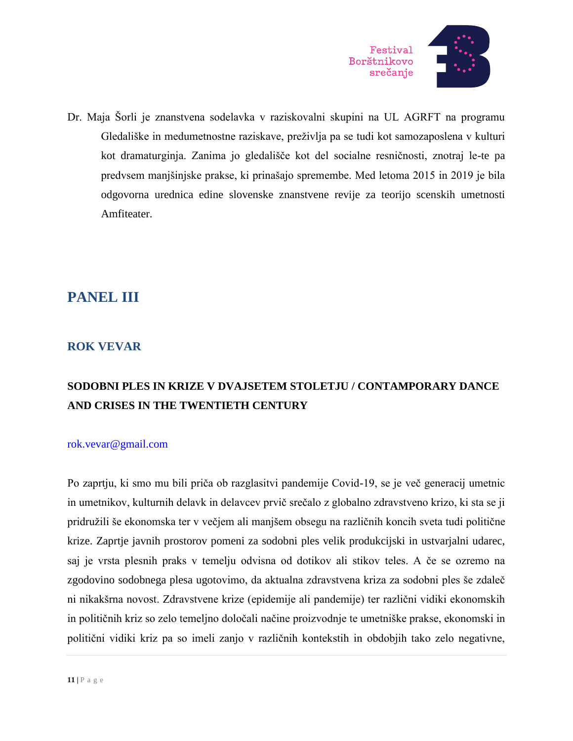

Dr. Maja Šorli je znanstvena sodelavka v raziskovalni skupini na UL AGRFT na programu Gledališke in medumetnostne raziskave, preživlja pa se tudi kot samozaposlena v kulturi kot dramaturginja. Zanima jo gledališče kot del socialne resničnosti, znotraj le-te pa predvsem manjšinjske prakse, ki prinašajo spremembe. Med letoma 2015 in 2019 je bila odgovorna urednica edine slovenske znanstvene revije za teorijo scenskih umetnosti Amfiteater.

## **PANEL III**

### **ROK VEVAR**

## **SODOBNI PLES IN KRIZE V DVAJSETEM STOLETJU / CONTAMPORARY DANCE AND CRISES IN THE TWENTIETH CENTURY**

### [rok.vevar@gmail.com](mailto:rok.vevar@gmail.com)

Po zaprtju, ki smo mu bili priča ob razglasitvi pandemije Covid-19, se je več generacij umetnic in umetnikov, kulturnih delavk in delavcev prvič srečalo z globalno zdravstveno krizo, ki sta se ji pridružili še ekonomska ter v večjem ali manjšem obsegu na različnih koncih sveta tudi politične krize. Zaprtje javnih prostorov pomeni za sodobni ples velik produkcijski in ustvarjalni udarec, saj je vrsta plesnih praks v temelju odvisna od dotikov ali stikov teles. A če se ozremo na zgodovino sodobnega plesa ugotovimo, da aktualna zdravstvena kriza za sodobni ples še zdaleč ni nikakšrna novost. Zdravstvene krize (epidemije ali pandemije) ter različni vidiki ekonomskih in političnih kriz so zelo temeljno določali načine proizvodnje te umetniške prakse, ekonomski in politični vidiki kriz pa so imeli zanjo v različnih kontekstih in obdobjih tako zelo negativne,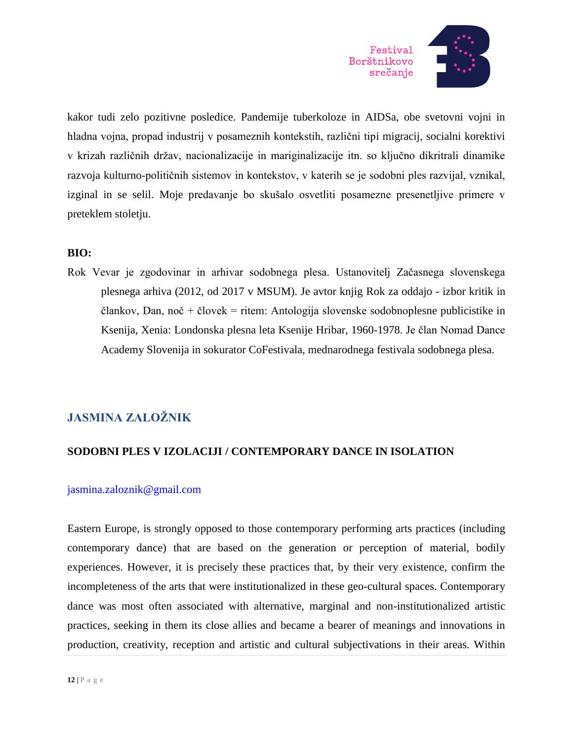

kakor tudi zelo pozitivne posledice. Pandemije tuberkoloze in AIDSa, obe svetovni vojni in hladna vojna, propad industrij v posameznih kontekstih, različni tipi migracij, socialni korektivi v krizah različnih držav, nacionalizacije in mariginalizacije itn. so ključno dikritrali dinamike razvoja kulturno-političnih sistemov in kontekstov, v katerih se je sodobni ples razvijal, vznikal, izginal in se selil. Moje predavanje bo skušalo osvetliti posamezne presenetljive primere v preteklem stoletju.

### **BIO:**

Rok Vevar je zgodovinar in arhivar sodobnega plesa. Ustanovitelj Začasnega slovenskega plesnega arhiva (2012, od 2017 v MSUM). Je avtor knjig Rok za oddajo - izbor kritik in člankov, Dan, noč + človek = ritem: Antologija slovenske sodobnoplesne publicistike in Ksenija, Xenia: Londonska plesna leta Ksenije Hribar, 1960-1978. Je član Nomad Dance Academy Slovenija in sokurator CoFestivala, mednarodnega festivala sodobnega plesa.

### **JASMINA ZALOŽNIK**

### **SODOBNI PLES V IZOLACIJI / CONTEMPORARY DANCE IN ISOLATION**

### [jasmina.zaloznik@gmail.com](mailto:jasmina.zaloznik@gmail.com)

Eastern Europe, is strongly opposed to those contemporary performing arts practices (including contemporary dance) that are based on the generation or perception of material, bodily experiences. However, it is precisely these practices that, by their very existence, confirm the incompleteness of the arts that were institutionalized in these geo-cultural spaces. Contemporary dance was most often associated with alternative, marginal and non-institutionalized artistic practices, seeking in them its close allies and became a bearer of meanings and innovations in production, creativity, reception and artistic and cultural subjectivations in their areas. Within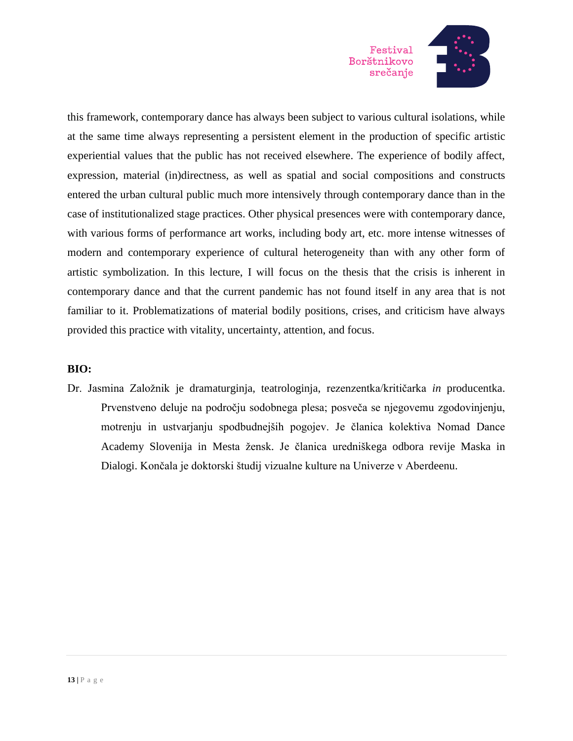

this framework, contemporary dance has always been subject to various cultural isolations, while at the same time always representing a persistent element in the production of specific artistic experiential values that the public has not received elsewhere. The experience of bodily affect, expression, material (in)directness, as well as spatial and social compositions and constructs entered the urban cultural public much more intensively through contemporary dance than in the case of institutionalized stage practices. Other physical presences were with contemporary dance, with various forms of performance art works, including body art, etc. more intense witnesses of modern and contemporary experience of cultural heterogeneity than with any other form of artistic symbolization. In this lecture, I will focus on the thesis that the crisis is inherent in contemporary dance and that the current pandemic has not found itself in any area that is not familiar to it. Problematizations of material bodily positions, crises, and criticism have always provided this practice with vitality, uncertainty, attention, and focus.

### **BIO:**

Dr. Jasmina Založnik je dramaturginja, teatrologinja, rezenzentka/kritičarka *in* producentka. Prvenstveno deluje na področju sodobnega plesa; posveča se njegovemu zgodovinjenju, motrenju in ustvarjanju spodbudnejših pogojev. Je članica kolektiva Nomad Dance Academy Slovenija in Mesta žensk. Je članica uredniškega odbora revije Maska in Dialogi. Končala je doktorski študij vizualne kulture na Univerze v Aberdeenu.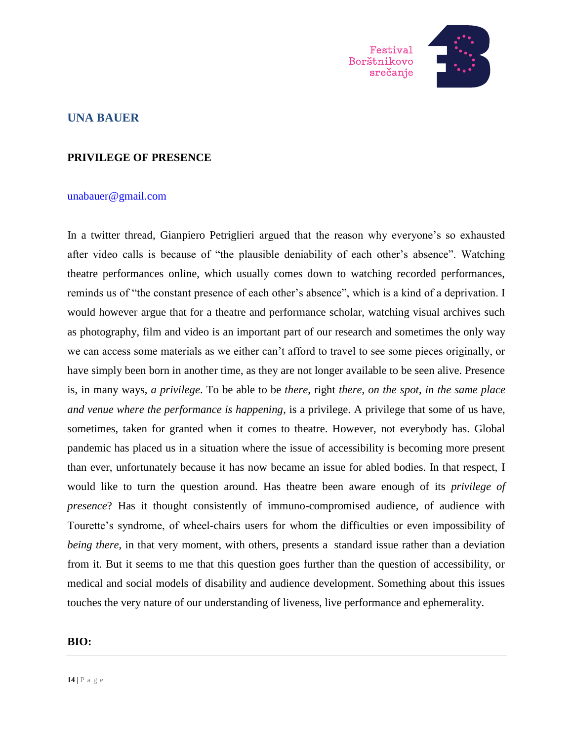

### **UNA BAUER**

### **PRIVILEGE OF PRESENCE**

#### [unabauer@gmail.com](mailto:unabauer@gmail.com)

In a twitter thread, Gianpiero Petriglieri argued that the reason why everyone's so exhausted after video calls is because of "the plausible deniability of each other's absence". Watching theatre performances online, which usually comes down to watching recorded performances, reminds us of "the constant presence of each other's absence", which is a kind of a deprivation. I would however argue that for a theatre and performance scholar, watching visual archives such as photography, film and video is an important part of our research and sometimes the only way we can access some materials as we either can't afford to travel to see some pieces originally, or have simply been born in another time, as they are not longer available to be seen alive. Presence is, in many ways, *a privilege*. To be able to be *there*, right *there*, *on the spot*, *in the same place and venue where the performance is happening*, is a privilege. A privilege that some of us have, sometimes, taken for granted when it comes to theatre. However, not everybody has. Global pandemic has placed us in a situation where the issue of accessibility is becoming more present than ever, unfortunately because it has now became an issue for abled bodies. In that respect, I would like to turn the question around. Has theatre been aware enough of its *privilege of presence*? Has it thought consistently of immuno-compromised audience, of audience with Tourette's syndrome, of wheel-chairs users for whom the difficulties or even impossibility of *being there*, in that very moment, with others, presents a standard issue rather than a deviation from it. But it seems to me that this question goes further than the question of accessibility, or medical and social models of disability and audience development. Something about this issues touches the very nature of our understanding of liveness, live performance and ephemerality.

#### **BIO:**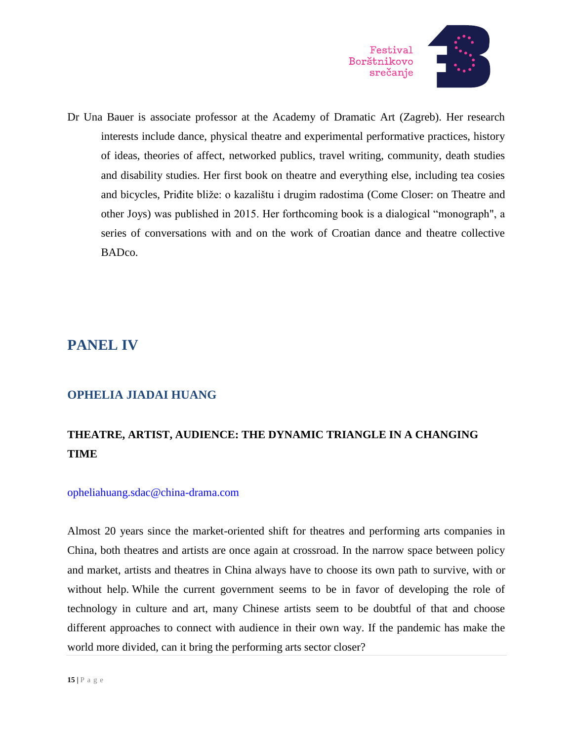

Dr Una Bauer is associate professor at the Academy of Dramatic Art (Zagreb). Her research interests include dance, physical theatre and experimental performative practices, history of ideas, theories of affect, networked publics, travel writing, community, death studies and disability studies. Her first book on theatre and everything else, including tea cosies and bicycles, Priđite bliže: o kazalištu i drugim radostima (Come Closer: on Theatre and other Joys) was published in 2015. Her forthcoming book is a dialogical "monograph", a series of conversations with and on the work of Croatian dance and theatre collective BADco.

## **PANEL IV**

### **OPHELIA JIADAI HUANG**

## **THEATRE, ARTIST, AUDIENCE: THE DYNAMIC TRIANGLE IN A CHANGING TIME**

### [opheliahuang.sdac@china-drama.com](mailto:opheliahuang.sdac@china-drama.com)

Almost 20 years since the market-oriented shift for theatres and performing arts companies in China, both theatres and artists are once again at crossroad. In the narrow space between policy and market, artists and theatres in China always have to choose its own path to survive, with or without help. While the current government seems to be in favor of developing the role of technology in culture and art, many Chinese artists seem to be doubtful of that and choose different approaches to connect with audience in their own way. If the pandemic has make the world more divided, can it bring the performing arts sector closer?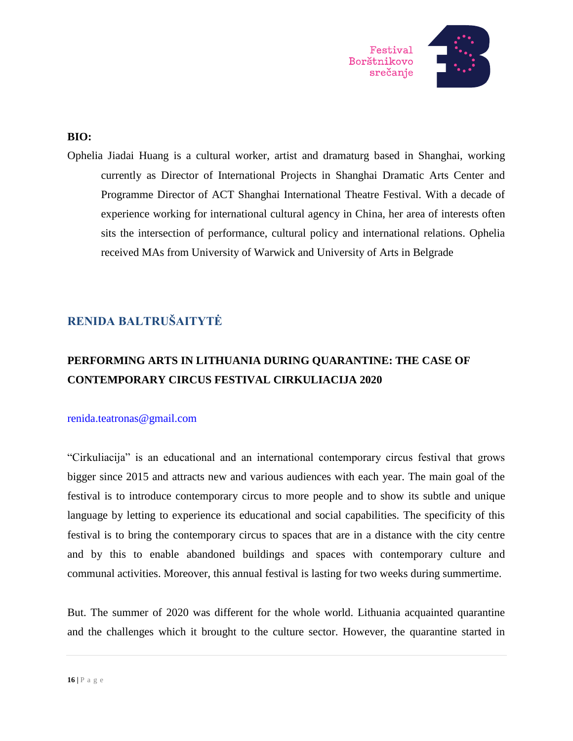

### **BIO:**

Ophelia Jiadai Huang is a cultural worker, artist and dramaturg based in Shanghai, working currently as Director of International Projects in Shanghai Dramatic Arts Center and Programme Director of ACT Shanghai International Theatre Festival. With a decade of experience working for international cultural agency in China, her area of interests often sits the intersection of performance, cultural policy and international relations. Ophelia received MAs from University of Warwick and University of Arts in Belgrade

### **RENIDA BALTRUŠAITYTĖ**

## **PERFORMING ARTS IN LITHUANIA DURING QUARANTINE: THE CASE OF CONTEMPORARY CIRCUS FESTIVAL CIRKULIACIJA 2020**

### [renida.teatronas@gmail.com](mailto:renida.teatronas@gmail.com)

"Cirkuliacija" is an educational and an international contemporary circus festival that grows bigger since 2015 and attracts new and various audiences with each year. The main goal of the festival is to introduce contemporary circus to more people and to show its subtle and unique language by letting to experience its educational and social capabilities. The specificity of this festival is to bring the contemporary circus to spaces that are in a distance with the city centre and by this to enable abandoned buildings and spaces with contemporary culture and communal activities. Moreover, this annual festival is lasting for two weeks during summertime.

But. The summer of 2020 was different for the whole world. Lithuania acquainted quarantine and the challenges which it brought to the culture sector. However, the quarantine started in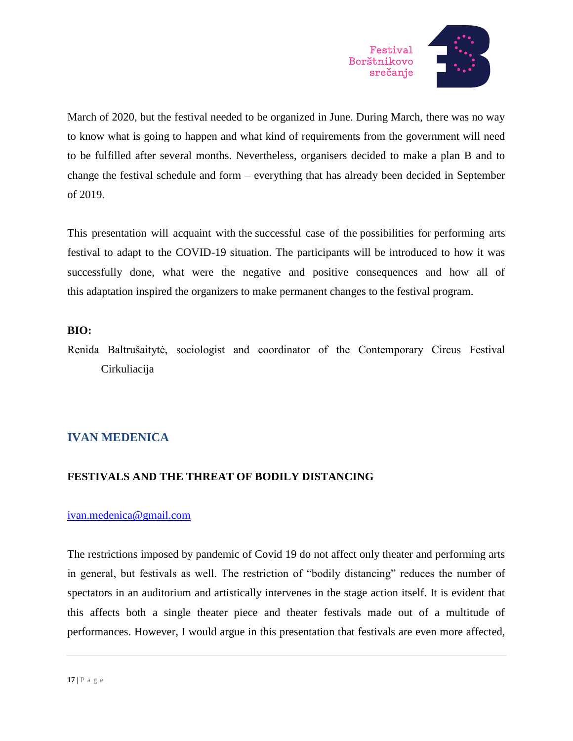

March of 2020, but the festival needed to be organized in June. During March, there was no way to know what is going to happen and what kind of requirements from the government will need to be fulfilled after several months. Nevertheless, organisers decided to make a plan B and to change the festival schedule and form – everything that has already been decided in September of 2019.

This presentation will acquaint with the successful case of the possibilities for performing arts festival to adapt to the COVID-19 situation. The participants will be introduced to how it was successfully done, what were the negative and positive consequences and how all of this adaptation inspired the organizers to make permanent changes to the festival program.

### **BIO:**

Renida Baltrušaitytė, sociologist and coordinator of the Contemporary Circus Festival Cirkuliacija

### **IVAN MEDENICA**

### **FESTIVALS AND THE THREAT OF BODILY DISTANCING**

### [ivan.medenica@gmail.com](mailto:ivan.medenica@gmail.com)

The restrictions imposed by pandemic of Covid 19 do not affect only theater and performing arts in general, but festivals as well. The restriction of "bodily distancing" reduces the number of spectators in an auditorium and artistically intervenes in the stage action itself. It is evident that this affects both a single theater piece and theater festivals made out of a multitude of performances. However, I would argue in this presentation that festivals are even more affected,